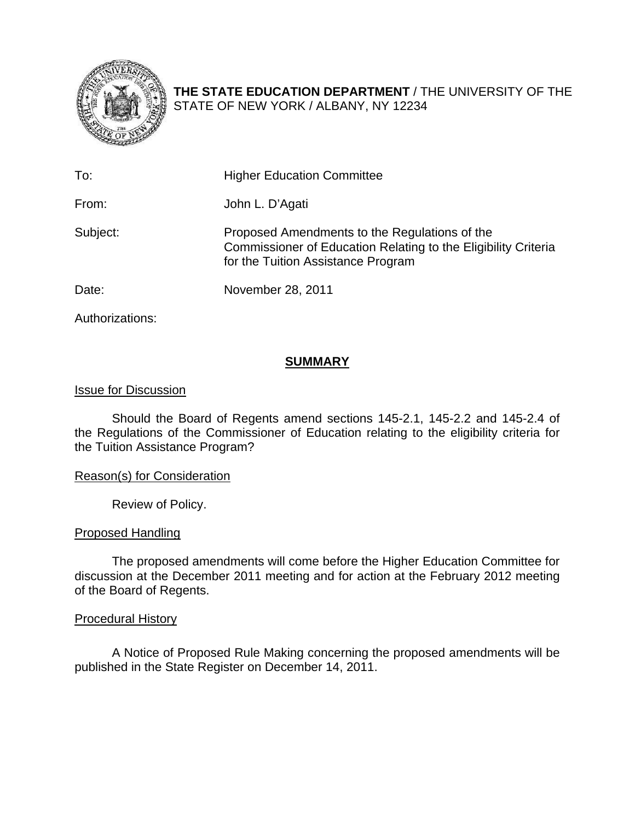

**THE STATE EDUCATION DEPARTMENT** / THE UNIVERSITY OF THE STATE OF NEW YORK / ALBANY, NY 12234

| To:      | <b>Higher Education Committee</b>                                                                                                                     |
|----------|-------------------------------------------------------------------------------------------------------------------------------------------------------|
| From:    | John L. D'Agati                                                                                                                                       |
| Subject: | Proposed Amendments to the Regulations of the<br>Commissioner of Education Relating to the Eligibility Criteria<br>for the Tuition Assistance Program |
| Date:    | November 28, 2011                                                                                                                                     |

Authorizations:

## **SUMMARY**

## Issue for Discussion

Should the Board of Regents amend sections 145-2.1, 145-2.2 and 145-2.4 of the Regulations of the Commissioner of Education relating to the eligibility criteria for the Tuition Assistance Program?

## Reason(s) for Consideration

Review of Policy.

## Proposed Handling

The proposed amendments will come before the Higher Education Committee for discussion at the December 2011 meeting and for action at the February 2012 meeting of the Board of Regents.

## Procedural History

A Notice of Proposed Rule Making concerning the proposed amendments will be published in the State Register on December 14, 2011.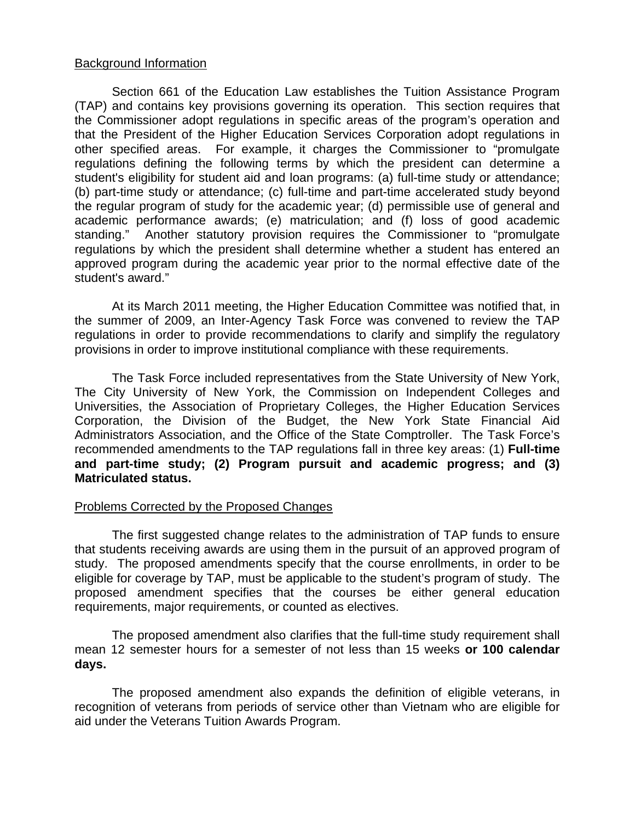#### Background Information

Section 661 of the Education Law establishes the Tuition Assistance Program (TAP) and contains key provisions governing its operation. This section requires that the Commissioner adopt regulations in specific areas of the program's operation and that the President of the Higher Education Services Corporation adopt regulations in other specified areas. For example, it charges the Commissioner to "promulgate regulations defining the following terms by which the president can determine a student's eligibility for student aid and loan programs: (a) full-time study or attendance; (b) part-time study or attendance; (c) full-time and part-time accelerated study beyond the regular program of study for the academic year; (d) permissible use of general and academic performance awards; (e) matriculation; and (f) loss of good academic standing." Another statutory provision requires the Commissioner to "promulgate regulations by which the president shall determine whether a student has entered an approved program during the academic year prior to the normal effective date of the student's award."

At its March 2011 meeting, the Higher Education Committee was notified that, in the summer of 2009, an Inter-Agency Task Force was convened to review the TAP regulations in order to provide recommendations to clarify and simplify the regulatory provisions in order to improve institutional compliance with these requirements.

The Task Force included representatives from the State University of New York, The City University of New York, the Commission on Independent Colleges and Universities, the Association of Proprietary Colleges, the Higher Education Services Corporation, the Division of the Budget, the New York State Financial Aid Administrators Association, and the Office of the State Comptroller. The Task Force's recommended amendments to the TAP regulations fall in three key areas: (1) **Full-time and part-time study; (2) Program pursuit and academic progress; and (3) Matriculated status.**

#### Problems Corrected by the Proposed Changes

 The first suggested change relates to the administration of TAP funds to ensure that students receiving awards are using them in the pursuit of an approved program of study. The proposed amendments specify that the course enrollments, in order to be eligible for coverage by TAP, must be applicable to the student's program of study. The proposed amendment specifies that the courses be either general education requirements, major requirements, or counted as electives.

 The proposed amendment also clarifies that the full-time study requirement shall mean 12 semester hours for a semester of not less than 15 weeks **or 100 calendar days.** 

 The proposed amendment also expands the definition of eligible veterans, in recognition of veterans from periods of service other than Vietnam who are eligible for aid under the Veterans Tuition Awards Program.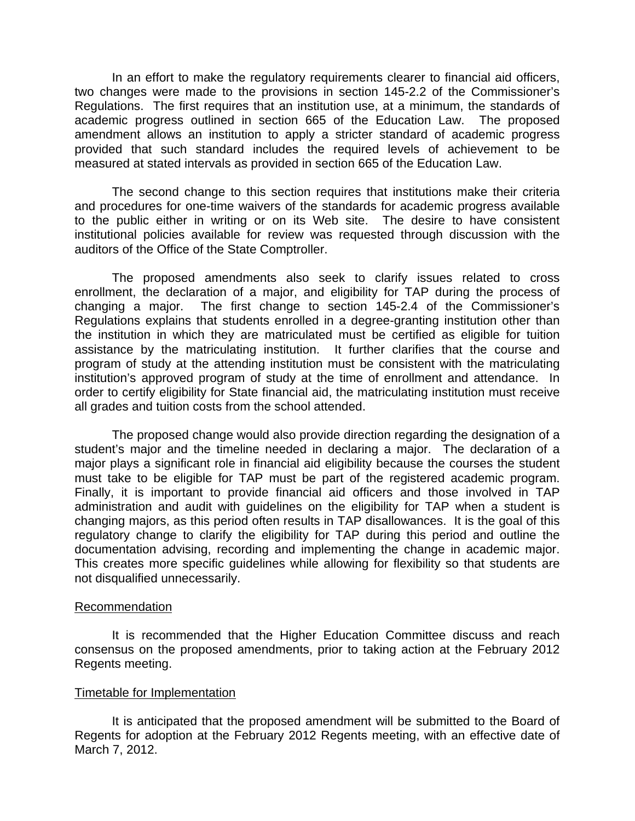In an effort to make the regulatory requirements clearer to financial aid officers, two changes were made to the provisions in section 145-2.2 of the Commissioner's Regulations. The first requires that an institution use, at a minimum, the standards of academic progress outlined in section 665 of the Education Law. The proposed amendment allows an institution to apply a stricter standard of academic progress provided that such standard includes the required levels of achievement to be measured at stated intervals as provided in section 665 of the Education Law.

The second change to this section requires that institutions make their criteria and procedures for one-time waivers of the standards for academic progress available to the public either in writing or on its Web site. The desire to have consistent institutional policies available for review was requested through discussion with the auditors of the Office of the State Comptroller.

 The proposed amendments also seek to clarify issues related to cross enrollment, the declaration of a major, and eligibility for TAP during the process of changing a major. The first change to section 145-2.4 of the Commissioner's Regulations explains that students enrolled in a degree-granting institution other than the institution in which they are matriculated must be certified as eligible for tuition assistance by the matriculating institution. It further clarifies that the course and program of study at the attending institution must be consistent with the matriculating institution's approved program of study at the time of enrollment and attendance. In order to certify eligibility for State financial aid, the matriculating institution must receive all grades and tuition costs from the school attended.

 The proposed change would also provide direction regarding the designation of a student's major and the timeline needed in declaring a major. The declaration of a major plays a significant role in financial aid eligibility because the courses the student must take to be eligible for TAP must be part of the registered academic program. Finally, it is important to provide financial aid officers and those involved in TAP administration and audit with guidelines on the eligibility for TAP when a student is changing majors, as this period often results in TAP disallowances. It is the goal of this regulatory change to clarify the eligibility for TAP during this period and outline the documentation advising, recording and implementing the change in academic major. This creates more specific guidelines while allowing for flexibility so that students are not disqualified unnecessarily.

#### **Recommendation**

It is recommended that the Higher Education Committee discuss and reach consensus on the proposed amendments, prior to taking action at the February 2012 Regents meeting.

#### Timetable for Implementation

It is anticipated that the proposed amendment will be submitted to the Board of Regents for adoption at the February 2012 Regents meeting, with an effective date of March 7, 2012.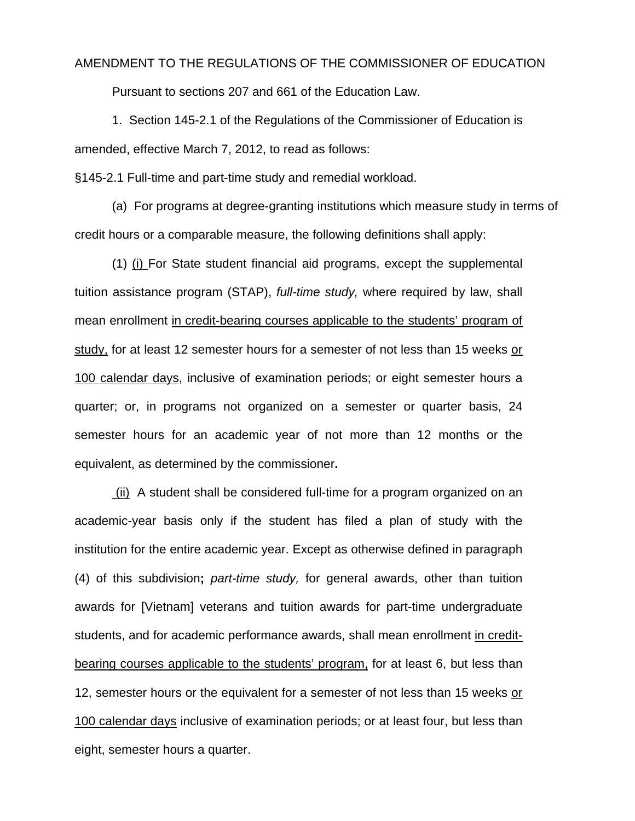#### AMENDMENT TO THE REGULATIONS OF THE COMMISSIONER OF EDUCATION

Pursuant to sections 207 and 661 of the Education Law.

1. Section 145-2.1 of the Regulations of the Commissioner of Education is amended, effective March 7, 2012, to read as follows:

§145-2.1 Full-time and part-time study and remedial workload.

 (a) For programs at degree-granting institutions which measure study in terms of credit hours or a comparable measure, the following definitions shall apply:

(1) (i) For State student financial aid programs, except the supplemental tuition assistance program (STAP), *full-time study,* where required by law, shall mean enrollment in credit-bearing courses applicable to the students' program of study, for at least 12 semester hours for a semester of not less than 15 weeks or 100 calendar days, inclusive of examination periods; or eight semester hours a quarter; or, in programs not organized on a semester or quarter basis, 24 semester hours for an academic year of not more than 12 months or the equivalent, as determined by the commissioner**.** 

 (ii) A student shall be considered full-time for a program organized on an academic-year basis only if the student has filed a plan of study with the institution for the entire academic year. Except as otherwise defined in paragraph (4) of this subdivision**;** *part-time study,* for general awards, other than tuition awards for [Vietnam] veterans and tuition awards for part-time undergraduate students, and for academic performance awards, shall mean enrollment in creditbearing courses applicable to the students' program, for at least 6, but less than 12, semester hours or the equivalent for a semester of not less than 15 weeks or 100 calendar days inclusive of examination periods; or at least four, but less than eight, semester hours a quarter.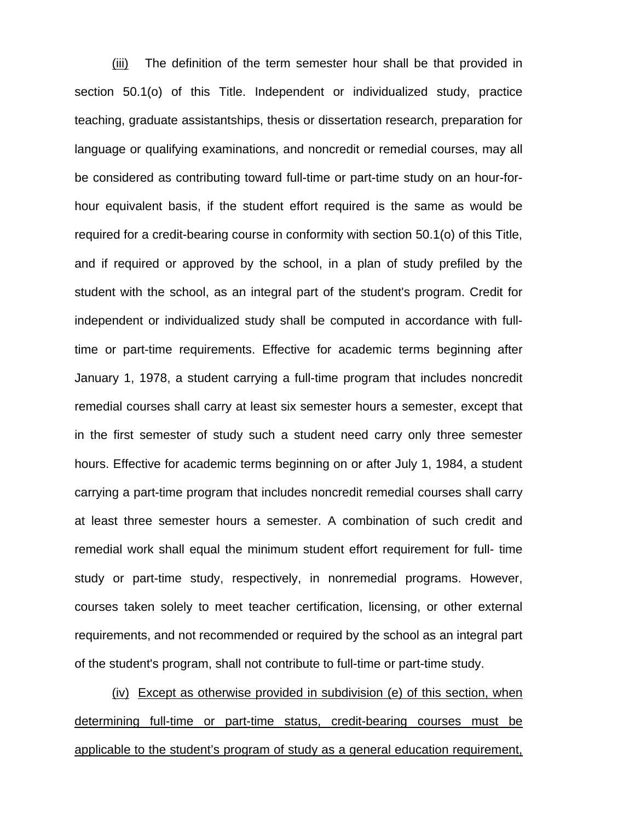(iii) The definition of the term semester hour shall be that provided in section 50.1(o) of this Title. Independent or individualized study, practice teaching, graduate assistantships, thesis or dissertation research, preparation for language or qualifying examinations, and noncredit or remedial courses, may all be considered as contributing toward full-time or part-time study on an hour-forhour equivalent basis, if the student effort required is the same as would be required for a credit-bearing course in conformity with section 50.1(o) of this Title, and if required or approved by the school, in a plan of study prefiled by the student with the school, as an integral part of the student's program. Credit for independent or individualized study shall be computed in accordance with fulltime or part-time requirements. Effective for academic terms beginning after January 1, 1978, a student carrying a full-time program that includes noncredit remedial courses shall carry at least six semester hours a semester, except that in the first semester of study such a student need carry only three semester hours. Effective for academic terms beginning on or after July 1, 1984, a student carrying a part-time program that includes noncredit remedial courses shall carry at least three semester hours a semester. A combination of such credit and remedial work shall equal the minimum student effort requirement for full- time study or part-time study, respectively, in nonremedial programs. However, courses taken solely to meet teacher certification, licensing, or other external requirements, and not recommended or required by the school as an integral part of the student's program, shall not contribute to full-time or part-time study.

(iv)Except as otherwise provided in subdivision (e) of this section, when determining full-time or part-time status, credit-bearing courses must be applicable to the student's program of study as a general education requirement,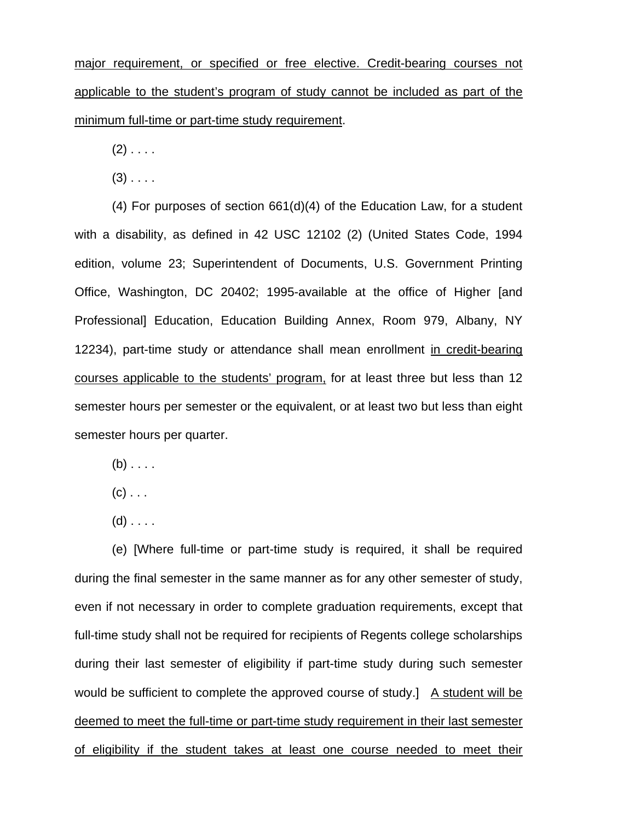major requirement, or specified or free elective. Credit-bearing courses not applicable to the student's program of study cannot be included as part of the minimum full-time or part-time study requirement.

 $(2)$  . . . .

 $(3)$  . . . .

(4) For purposes of section 661(d)(4) of the Education Law, for a student with a disability, as defined in 42 USC 12102 (2) (United States Code, 1994 edition, volume 23; Superintendent of Documents, U.S. Government Printing Office, Washington, DC 20402; 1995-available at the office of Higher [and Professional] Education, Education Building Annex, Room 979, Albany, NY 12234), part-time study or attendance shall mean enrollment in credit-bearing courses applicable to the students' program, for at least three but less than 12 semester hours per semester or the equivalent, or at least two but less than eight semester hours per quarter.

- $(b) \ldots$
- $(c)$  . . .
- $(d)$  . . . .

(e) [Where full-time or part-time study is required, it shall be required during the final semester in the same manner as for any other semester of study, even if not necessary in order to complete graduation requirements, except that full-time study shall not be required for recipients of Regents college scholarships during their last semester of eligibility if part-time study during such semester would be sufficient to complete the approved course of study.] A student will be deemed to meet the full-time or part-time study requirement in their last semester of eligibility if the student takes at least one course needed to meet their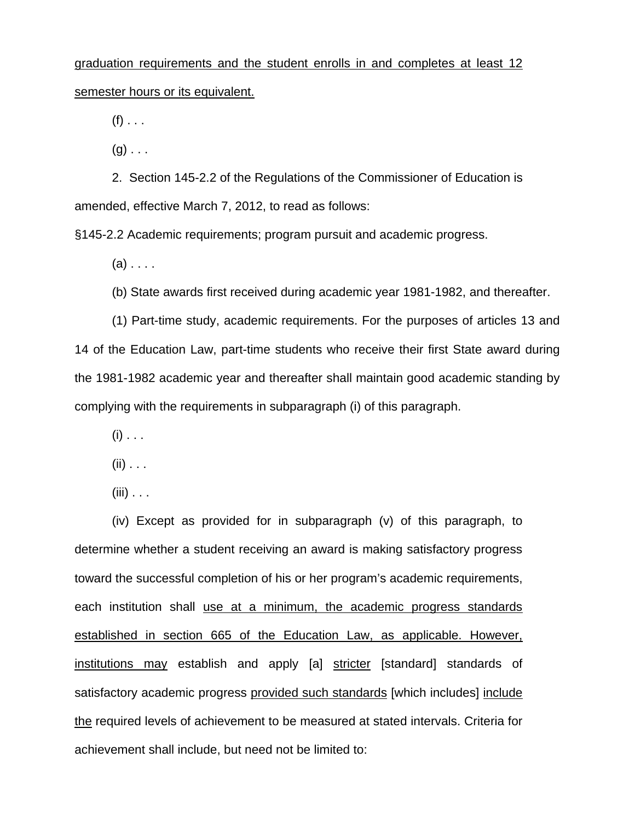# graduation requirements and the student enrolls in and completes at least 12 semester hours or its equivalent.

 $(f)$  . . .

 $(q)$ ...

2. Section 145-2.2 of the Regulations of the Commissioner of Education is amended, effective March 7, 2012, to read as follows:

§145-2.2 Academic requirements; program pursuit and academic progress.

 $(a)$ ...

(b) State awards first received during academic year 1981-1982, and thereafter.

(1) Part-time study, academic requirements. For the purposes of articles 13 and 14 of the Education Law, part-time students who receive their first State award during the 1981-1982 academic year and thereafter shall maintain good academic standing by complying with the requirements in subparagraph (i) of this paragraph.

 $(i)$  . . .

 $(ii)$  . . .

 $(iii)$  . . .

(iv) Except as provided for in subparagraph (v) of this paragraph, to determine whether a student receiving an award is making satisfactory progress toward the successful completion of his or her program's academic requirements, each institution shall use at a minimum, the academic progress standards established in section 665 of the Education Law, as applicable. However, institutions may establish and apply [a] stricter [standard] standards of satisfactory academic progress provided such standards [which includes] include the required levels of achievement to be measured at stated intervals. Criteria for achievement shall include, but need not be limited to: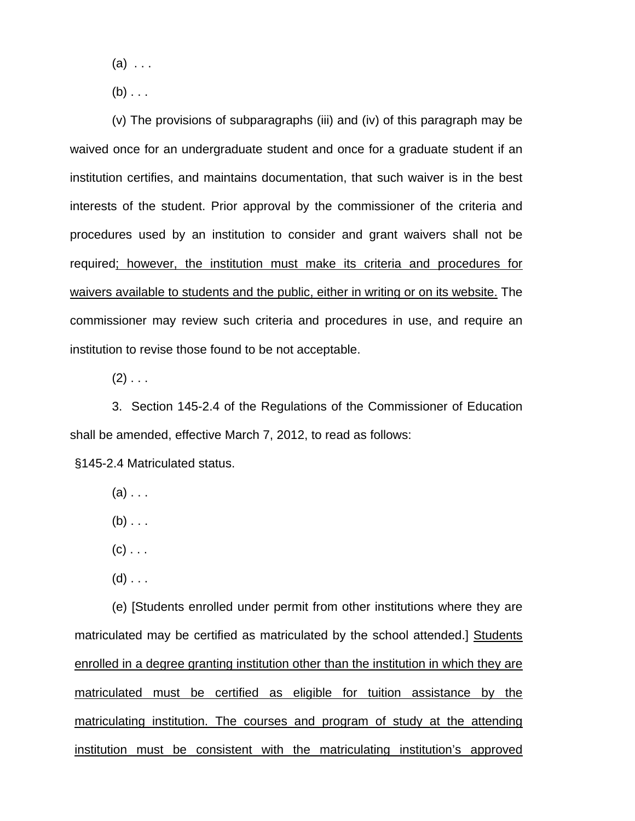$(a) \ldots$ 

 $(b)$  . . .

(v) The provisions of subparagraphs (iii) and (iv) of this paragraph may be waived once for an undergraduate student and once for a graduate student if an institution certifies, and maintains documentation, that such waiver is in the best interests of the student. Prior approval by the commissioner of the criteria and procedures used by an institution to consider and grant waivers shall not be required; however, the institution must make its criteria and procedures for waivers available to students and the public, either in writing or on its website. The commissioner may review such criteria and procedures in use, and require an institution to revise those found to be not acceptable.

 $(2)$  . . .

3. Section 145-2.4 of the Regulations of the Commissioner of Education shall be amended, effective March 7, 2012, to read as follows:

§145-2.4 Matriculated status.

- $(a)$ ...
- $(b)$ ...
- $(c)$  . . .
- $(d)$  . . .

(e) [Students enrolled under permit from other institutions where they are matriculated may be certified as matriculated by the school attended.] Students enrolled in a degree granting institution other than the institution in which they are matriculated must be certified as eligible for tuition assistance by the matriculating institution. The courses and program of study at the attending institution must be consistent with the matriculating institution's approved